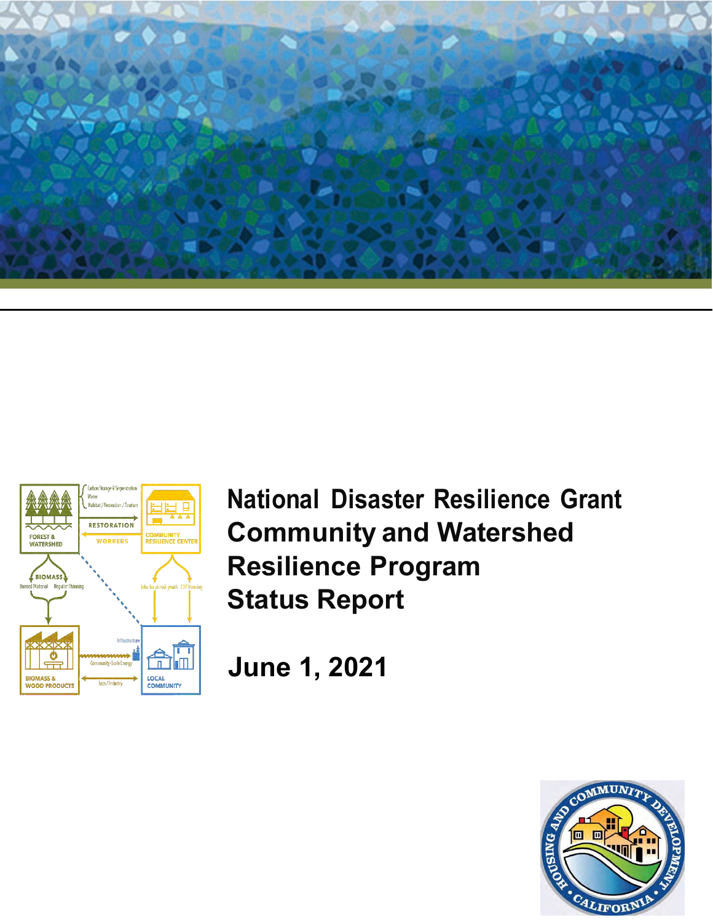



**National Disaster Resilience Grant Community and Watershed Resilience Program Status Report** 

**June 1, 2021**

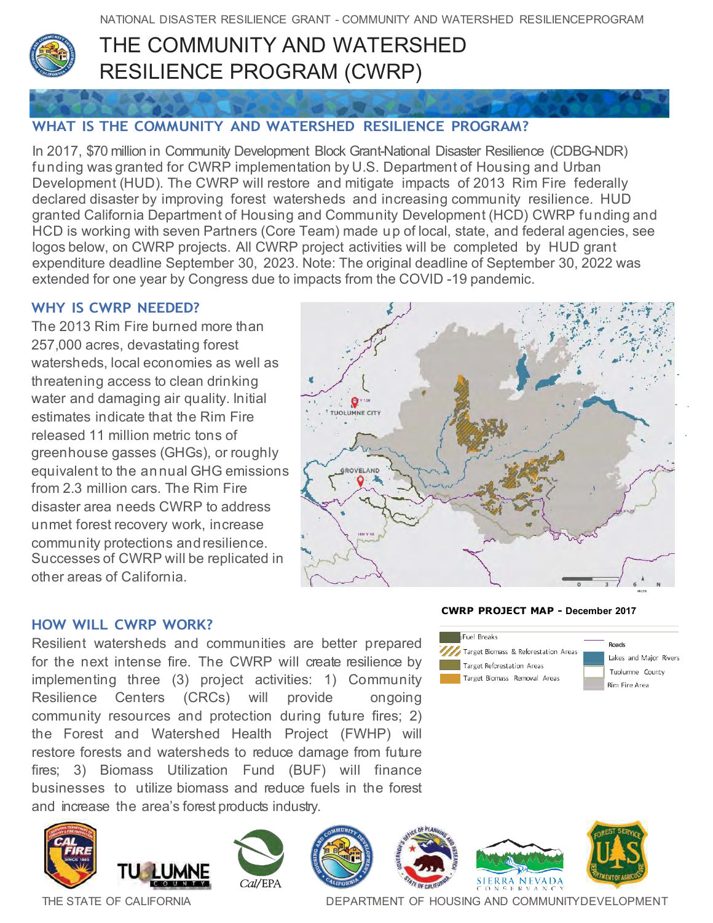

# THE COMMUNITY AND WATERSHED RESILIENCE PROGRAM (CWRP)

## **WHAT IS THE COMMUNITY AND WATERSHED RESILIENCE PROGRAM?**

In 2017, \$70 million in Community Development Block Grant-National Disaster Resilience (CDBG-NDR) funding was granted for CWRP implementation by U.S. Department of Housing and Urban Development (HUD). The CWRP will restore and mitigate impacts of 2013 Rim Fire federally declared disaster by improving forest watersheds and increasing community resilience. HUD granted California Department of Housing and Community Development (HCD) CWRP funding and HCD is working with seven Partners (Core Team) made up of local, state, and federal agencies, see logos below, on CWRP projects. All CWRP project activities will be completed by HUD grant expenditure deadline September 30, 2023. Note: The original deadline of September 30, 2022 was extended for one year by Congress due to impacts from the COVID -19 pandemic.

### **WHY IS CWRP NEEDED?**

The 2013 Rim Fire burned more than 257,000 acres, devastating forest watersheds, local economies as well as threatening access to clean drinking water and damaging air quality. Initial estimates indicate that the Rim Fire released 11 million metric tons of greenhouse gasses (GHGs), or roughly equivalent to the annual GHG emissions from 2.3 million cars. The Rim Fire disaster area needs CWRP to address unmet forest recovery work, increase community protections andresilience. Successes of CWRP will be replicated in other areas of California.



#### **HOW WILL CWRP WORK?**

Resilient watersheds and communities are better prepared for the next intense fire. The CWRP will create resilience by implementing three (3) project activities: 1) Community Resilience Centers (CRCs) will provide ongoing community resources and protection during future fires; 2) the Forest and Watershed Health Project (FWHP) will restore forests and watersheds to reduce damage from future fires; 3) Biomass Utilization Fund (BUF) will finance businesses to utilize biomass and reduce fuels in the forest and increase the area's forest products industry.

















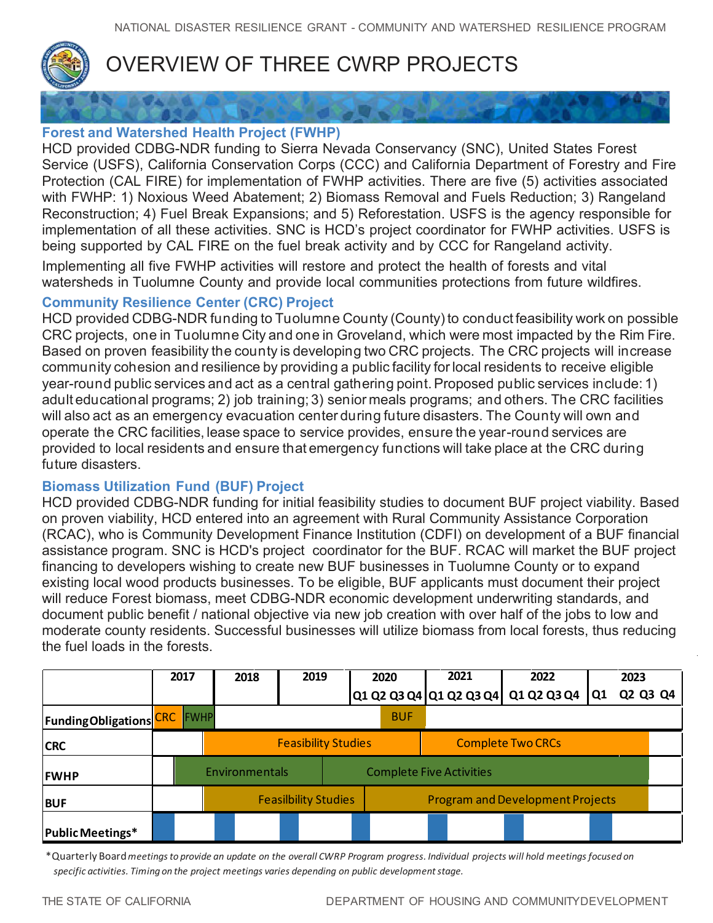

# OVERVIEW OF THREE CWRP PROJECTS

## **Forest and Watershed Health Project (FWHP)**

HCD provided CDBG-NDR funding to Sierra Nevada Conservancy (SNC), United States Forest Service (USFS), California Conservation Corps (CCC) and California Department of Forestry and Fire Protection (CAL FIRE) for implementation of FWHP activities. There are five (5) activities associated with FWHP: 1) Noxious Weed Abatement; 2) Biomass Removal and Fuels Reduction; 3) Rangeland Reconstruction; 4) Fuel Break Expansions; and 5) Reforestation. USFS is the agency responsible for implementation of all these activities. SNC is HCD's project coordinator for FWHP activities. USFS is being supported by CAL FIRE on the fuel break activity and by CCC for Rangeland activity.

Implementing all five FWHP activities will restore and protect the health of forests and vital watersheds in Tuolumne County and provide local communities protections from future wildfires.

## **Community Resilience Center (CRC) Project**

HCD provided CDBG-NDR funding to Tuolumne County (County) to conduct feasibility work on possible CRC projects, one in Tuolumne City and one in Groveland, which were most impacted by the Rim Fire. Based on proven feasibility the county is developing two CRC projects. The CRC projects will increase community cohesion and resilience by providing a public facility for local residents to receive eligible year-round public services and act as a central gathering point. Proposed public services include: 1) adult educational programs; 2) job training; 3) senior meals programs; and others. The CRC facilities will also act as an emergency evacuation center during future disasters. The County will own and operate the CRC facilities, lease space to service provides, ensure the year-round services are provided to local residents and ensure that emergency functions will take place at the CRC during future disasters.

## **Biomass Utilization Fund (BUF) Project**

HCD provided CDBG-NDR funding for initial feasibility studies to document BUF project viability. Based on proven viability, HCD entered into an agreement with Rural Community Assistance Corporation (RCAC), who is Community Development Finance Institution (CDFI) on development of a BUF financial assistance program. SNC is HCD's project coordinator for the BUF. RCAC will market the BUF project financing to developers wishing to create new BUF businesses in Tuolumne County or to expand existing local wood products businesses. To be eligible, BUF applicants must document their project will reduce Forest biomass, meet CDBG-NDR economic development underwriting standards, and document public benefit / national objective via new job creation with over half of the jobs to low and moderate county residents. Successful businesses will utilize biomass from local forests, thus reducing the fuel loads in the forests.

|                                | 2017        | 2018           | 2019                        | 2020       |                                         | 2021                     | 2022                                |    | 2023     |  |  |
|--------------------------------|-------------|----------------|-----------------------------|------------|-----------------------------------------|--------------------------|-------------------------------------|----|----------|--|--|
|                                |             |                |                             |            |                                         |                          | Q1 Q2 Q3 Q4 Q1 Q2 Q3 Q4 Q1 Q2 Q3 Q4 | Q1 | Q2 Q3 Q4 |  |  |
| <b>Funding Obligations CRC</b> | <b>FWHP</b> |                |                             | <b>BUF</b> |                                         |                          |                                     |    |          |  |  |
| <b>CRC</b>                     |             |                | <b>Feasibility Studies</b>  |            |                                         | <b>Complete Two CRCs</b> |                                     |    |          |  |  |
| <b>FWHP</b>                    |             | Environmentals |                             |            | <b>Complete Five Activities</b>         |                          |                                     |    |          |  |  |
| <b>BUF</b>                     |             |                | <b>Feasilbility Studies</b> |            | <b>Program and Development Projects</b> |                          |                                     |    |          |  |  |
| <b>Public Meetings*</b>        |             |                |                             |            |                                         |                          |                                     |    |          |  |  |

\*Quarterly Board *meetings to provide an update on the overall CWRP Program progress. Individual projects will hold meetings focused on specific activities. Timing on the project meetings varies depending on public development stage.*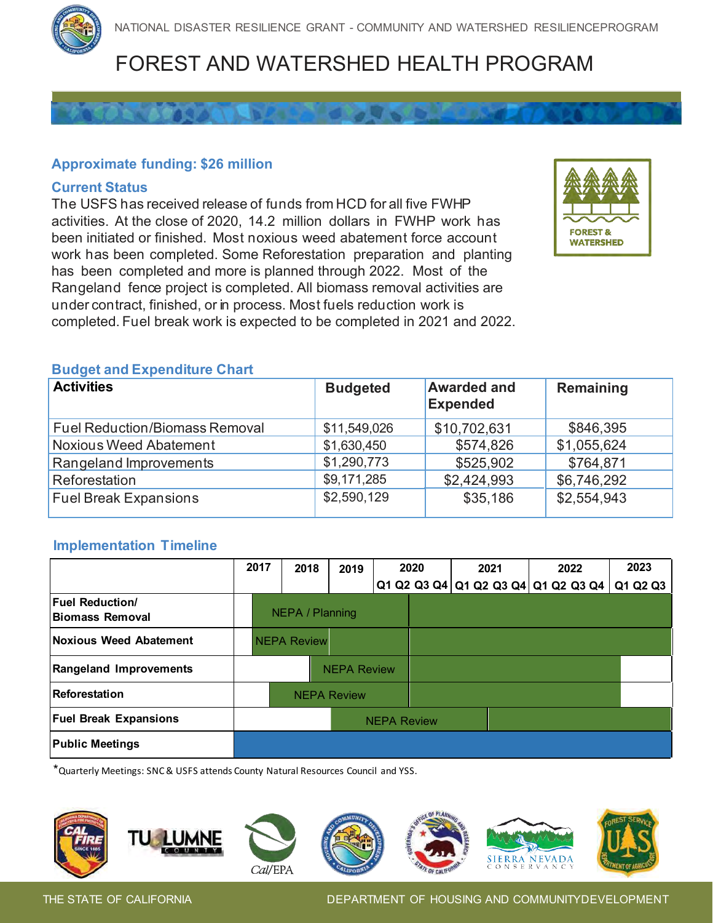# FOREST AND WATERSHED HEALTH PROGRAM

## **Approximate funding: \$26 million**

#### **Current Status**

The USFS has received release of funds from HCD for all five FWHP activities. At the close of 2020, 14.2 million dollars in FWHP work has been initiated or finished. Most noxious weed abatement force account work has been completed. Some Reforestation preparation and planting has been completed and more is planned through 2022. Most of the Rangeland fence project is completed. All biomass removal activities are under contract, finished, or in process. Most fuels reduction work is completed. Fuel break work is expected to be completed in 2021 and 2022.



#### **Budget and Expenditure Chart**

| <b>Activities</b>                     | <b>Budgeted</b> | <b>Awarded and</b><br><b>Expended</b> | Remaining   |
|---------------------------------------|-----------------|---------------------------------------|-------------|
| <b>Fuel Reduction/Biomass Removal</b> | \$11,549,026    | \$10,702,631                          | \$846,395   |
| <b>Noxious Weed Abatement</b>         | \$1,630,450     | \$574,826                             | \$1,055,624 |
| Rangeland Improvements                | \$1,290,773     | \$525,902                             | \$764,871   |
| Reforestation                         | \$9,171,285     | \$2,424,993                           | \$6,746,292 |
| <b>Fuel Break Expansions</b>          | \$2,590,129     | \$35,186                              | \$2,554,943 |

#### **Implementation Timeline**

|                                                  | 2017               | 2018               | 2019               |  | 2020 | 2021 | 2022                                    | 2023     |
|--------------------------------------------------|--------------------|--------------------|--------------------|--|------|------|-----------------------------------------|----------|
|                                                  |                    |                    |                    |  |      |      | Q1 Q2 Q3 Q4   Q1 Q2 Q3 Q4   Q1 Q2 Q3 Q4 | Q1 Q2 Q3 |
| <b>Fuel Reduction/</b><br><b>Biomass Removal</b> |                    | NEPA / Planning    |                    |  |      |      |                                         |          |
| <b>Noxious Weed Abatement</b>                    |                    | <b>NEPA Review</b> |                    |  |      |      |                                         |          |
| <b>Rangeland Improvements</b>                    |                    |                    | <b>NEPA Review</b> |  |      |      |                                         |          |
| Reforestation                                    | <b>NEPA Review</b> |                    |                    |  |      |      |                                         |          |
| <b>Fuel Break Expansions</b>                     | <b>NEPA Review</b> |                    |                    |  |      |      |                                         |          |
| <b>Public Meetings</b>                           |                    |                    |                    |  |      |      |                                         |          |

\*Quarterly Meetings: SNC& USFS attends County Natural Resources Council and YSS.

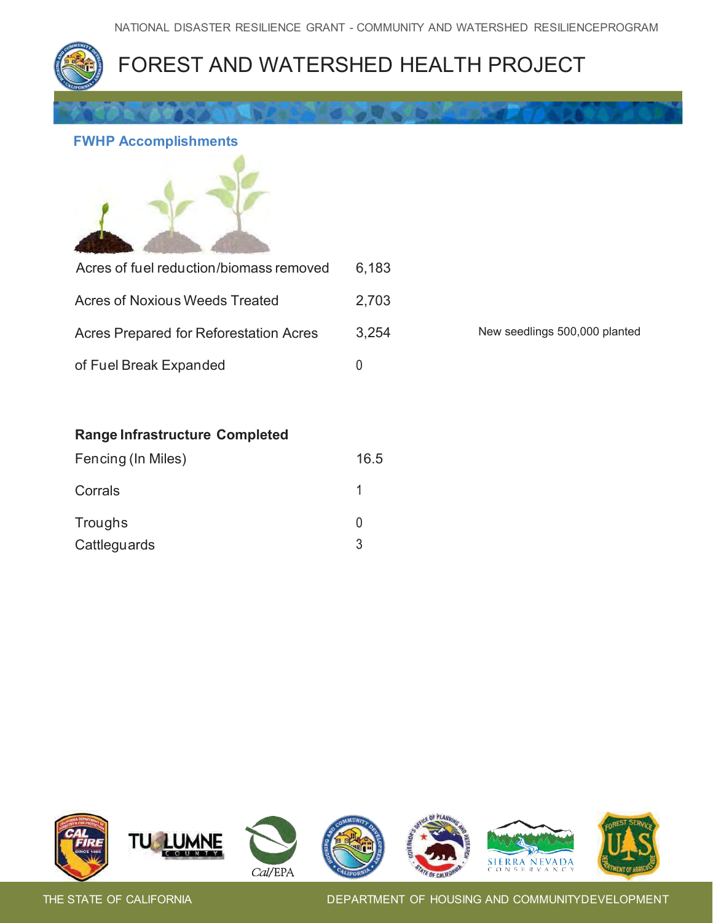

## **FWHP Accomplishments**



| Acres of fuel reduction/biomass removed | 6.183 |                               |
|-----------------------------------------|-------|-------------------------------|
| Acres of Noxious Weeds Treated          | 2,703 |                               |
| Acres Prepared for Reforestation Acres  | 3.254 | New seedlings 500,000 planted |
| of Fuel Break Expanded                  |       |                               |

### **Range Infrastructure Completed**

| Fencing (In Miles) | 16.5 |
|--------------------|------|
| Corrals            |      |
| Troughs            |      |
| Cattleguards       | 3    |

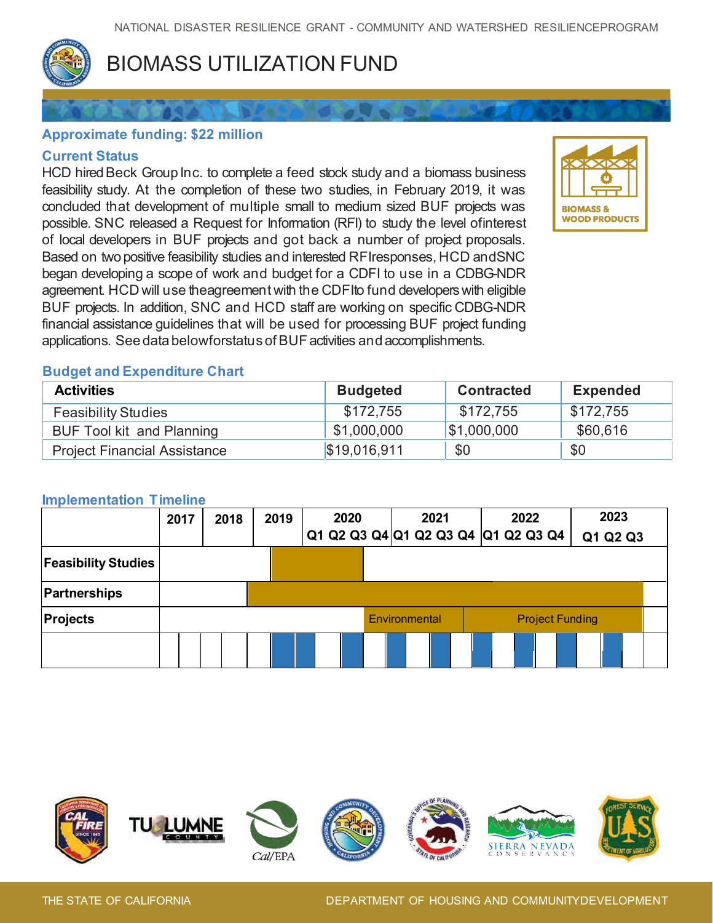

# BIOMASS UTILIZATION FUND

## **Approximate funding: \$22 million**

### **Current Status**

HCD hired Beck Group Inc. to complete a feed stock study and a biomass business feasibility study. At the completion of these two studies, in February 2019, it was concluded that development of multiple small to medium sized BUF projects was possible. SNC released a Request for Information (RFI) to study the level ofinterest of local developers in BUF projects and got back a number of project proposals. Based on two positive feasibility studies and interested RFIresponses, HCD andSNC began developing a scope of work and budget for a CDFI to use in a CDBG-NDR agreement. HCD will use theagreement with the CDFIto fund developers with eligible BUF projects. In addition, SNC and HCD staff are working on specific CDBG-NDR financial assistance guidelines that will be used for processing BUF project funding applications. See data belowforstatus ofBUF activities and accomplishments.



### **Budget and Expenditure Chart**

| <b>Activities</b>                   | <b>Budgeted</b> | <b>Contracted</b> | <b>Expended</b> |
|-------------------------------------|-----------------|-------------------|-----------------|
| <b>Feasibility Studies</b>          | \$172.755       | \$172,755         | \$172.755       |
| <b>BUF Tool kit and Planning</b>    | \$1,000,000     | \$1,000,000       | \$60,616        |
| <b>Project Financial Assistance</b> | \$19,016,911    | \$0               | \$0             |

#### **Implementation Timeline**

|                            | 2017 |  | 2018 | 2020<br>2019 |  |  |                                     | 2021 |  | 2022 |  | 2023 |  |  |                        |          |  |
|----------------------------|------|--|------|--------------|--|--|-------------------------------------|------|--|------|--|------|--|--|------------------------|----------|--|
|                            |      |  |      |              |  |  | Q1 Q2 Q3 Q4 Q1 Q2 Q3 Q4 Q1 Q2 Q3 Q4 |      |  |      |  |      |  |  |                        | Q1 Q2 Q3 |  |
| <b>Feasibility Studies</b> |      |  |      |              |  |  |                                     |      |  |      |  |      |  |  |                        |          |  |
| <b>Partnerships</b>        |      |  |      |              |  |  |                                     |      |  |      |  |      |  |  |                        |          |  |
| <b>Projects</b>            |      |  |      |              |  |  | Environmental                       |      |  |      |  |      |  |  | <b>Project Funding</b> |          |  |
|                            |      |  |      |              |  |  |                                     |      |  |      |  |      |  |  |                        |          |  |

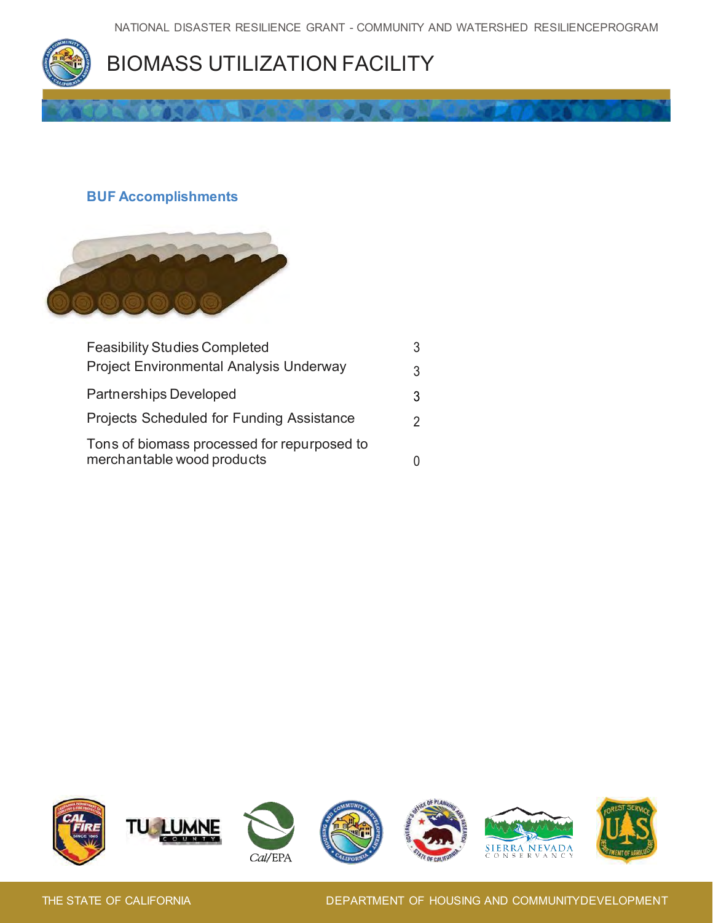

## **BUF Accomplishments**



| <b>Feasibility Studies Completed</b>                                      |   |
|---------------------------------------------------------------------------|---|
| <b>Project Environmental Analysis Underway</b>                            |   |
| <b>Partnerships Developed</b>                                             | 3 |
| <b>Projects Scheduled for Funding Assistance</b>                          |   |
| Tons of biomass processed for repurposed to<br>merchantable wood products |   |

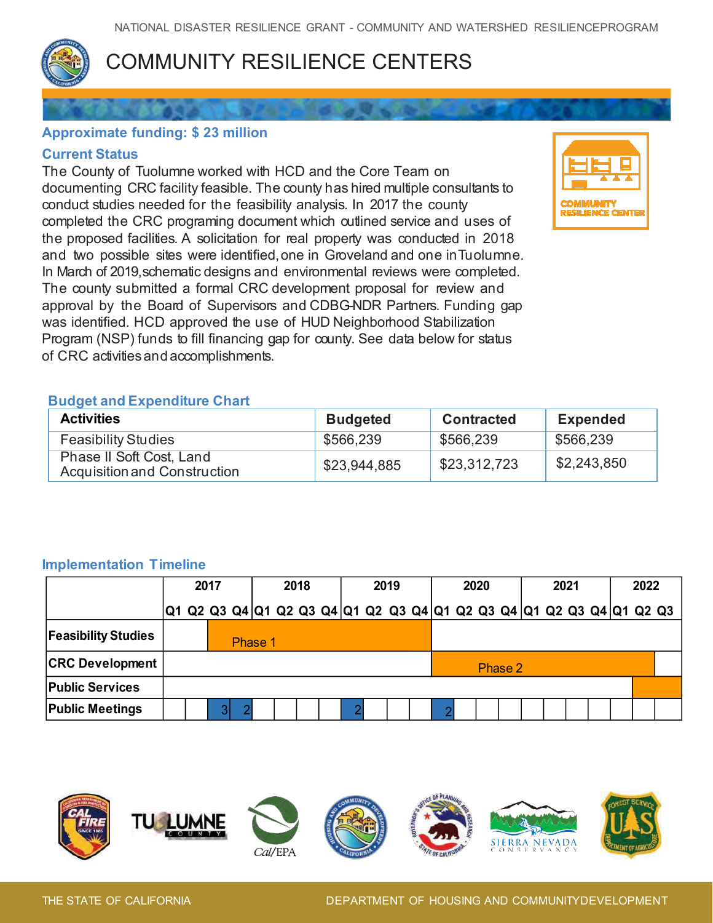

# COMMUNITY RESILIENCE CENTERS

## **Approximate funding: \$ 23 million**

### **Current Status**

 and two possible sites were identified, one in Groveland and one inTuolumne. In March of 2019,schematic designs and environmental reviews were completed. |<br>|<br>|<br>|<br>|}<br>|} The County of Tuolumne worked with HCD and the Core Team on documenting CRC facility feasible. The county has hired multiple consultants to conduct studies needed for the feasibility analysis. In 2017 the county completed the CRC programing document which outlined service and uses of the proposed facilities. A solicitation for real property was conducted in 2018 The county submitted a formal CRC development proposal for review and approval by the Board of Supervisors and CDBG-NDR Partners. Funding gap was identified. HCD approved the use of HUD Neighborhood Stabilization Program (NSP) funds to fill financing gap for county. See data below for status of CRC activities and accomplishments.



## **Budget and Expenditure Chart**

| <b>Activities</b>                                        | <b>Budgeted</b> | <b>Contracted</b> | <b>Expended</b> |
|----------------------------------------------------------|-----------------|-------------------|-----------------|
| <b>Feasibility Studies</b>                               | \$566,239       | \$566,239         | \$566,239       |
| Phase II Soft Cost, Land<br>Acquisition and Construction | \$23,944,885    | \$23,312,723      | \$2,243,850     |

## **Implementation Timeline**

| <b>Feasibility Studies</b><br>\$566,239<br>\$566,239<br>\$566,239<br>Phase II Soft Cost, Land<br>\$2,243,850<br>\$23,312,723<br>\$23,944,885<br><b>Acquisition and Construction</b> |      |
|-------------------------------------------------------------------------------------------------------------------------------------------------------------------------------------|------|
|                                                                                                                                                                                     |      |
|                                                                                                                                                                                     |      |
|                                                                                                                                                                                     |      |
| <b>Implementation Timeline</b><br>2019<br>2017<br>2018<br>2020<br>2021                                                                                                              | 2022 |
| Q1 Q2 Q3 Q4 Q1 Q2 Q3 Q4 Q1 Q2 Q3 Q4 Q1 Q2 Q3 Q4 Q1 Q2 Q3 Q4 Q1 Q2 Q3                                                                                                                |      |
| <b>Feasibility Studies</b><br>Phase 1                                                                                                                                               |      |
| <b>CRC Development</b><br>Phase 2                                                                                                                                                   |      |
| <b>Public Services</b>                                                                                                                                                              |      |
| <b>Public Meetings</b><br>3 <sup>1</sup><br>$\overline{2}$<br>2<br>$\overline{2}$                                                                                                   |      |

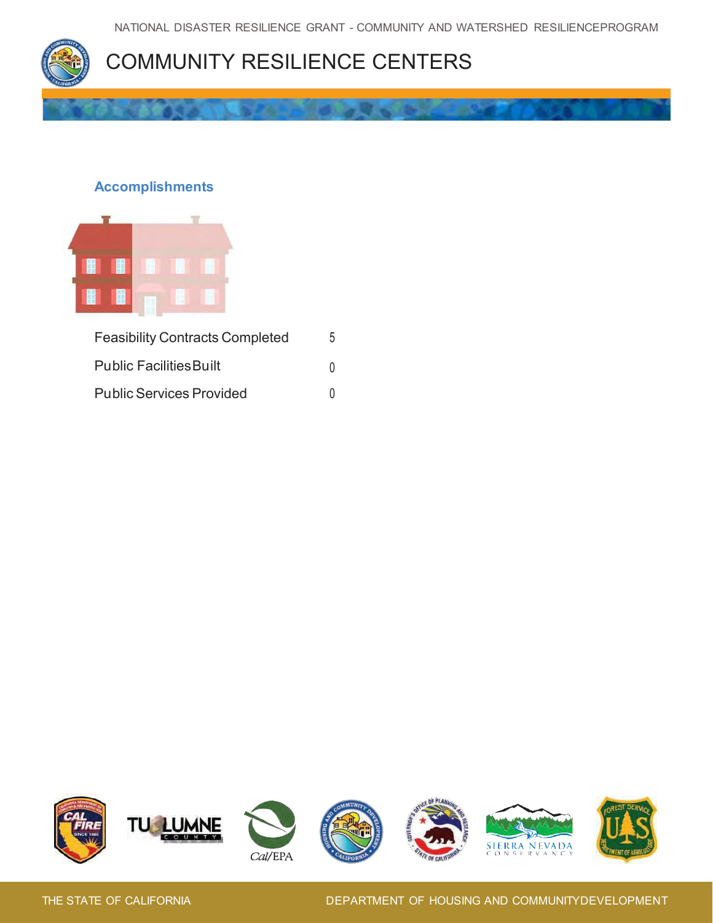

### **Accomplishments**



| <b>Feasibility Contracts Completed</b> | 5.     |
|----------------------------------------|--------|
| <b>Public Facilities Built</b>         | $\cup$ |
| <b>Public Services Provided</b>        | U      |